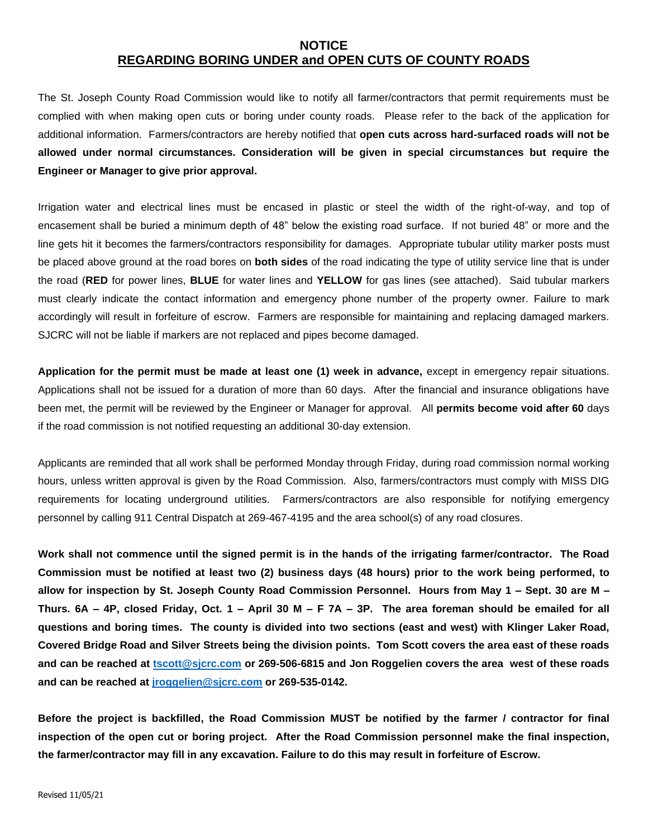## **NOTICE REGARDING BORING UNDER and OPEN CUTS OF COUNTY ROADS**

The St. Joseph County Road Commission would like to notify all farmer/contractors that permit requirements must be complied with when making open cuts or boring under county roads. Please refer to the back of the application for additional information. Farmers/contractors are hereby notified that **open cuts across hard-surfaced roads will not be allowed under normal circumstances. Consideration will be given in special circumstances but require the Engineer or Manager to give prior approval.**

Irrigation water and electrical lines must be encased in plastic or steel the width of the right-of-way, and top of encasement shall be buried a minimum depth of 48" below the existing road surface. If not buried 48" or more and the line gets hit it becomes the farmers/contractors responsibility for damages. Appropriate tubular utility marker posts must be placed above ground at the road bores on **both sides** of the road indicating the type of utility service line that is under the road (**RED** for power lines, **BLUE** for water lines and **YELLOW** for gas lines (see attached). Said tubular markers must clearly indicate the contact information and emergency phone number of the property owner. Failure to mark accordingly will result in forfeiture of escrow. Farmers are responsible for maintaining and replacing damaged markers. SJCRC will not be liable if markers are not replaced and pipes become damaged.

**Application for the permit must be made at least one (1) week in advance,** except in emergency repair situations. Applications shall not be issued for a duration of more than 60 days. After the financial and insurance obligations have been met, the permit will be reviewed by the Engineer or Manager for approval. All **permits become void after 60** days if the road commission is not notified requesting an additional 30-day extension.

Applicants are reminded that all work shall be performed Monday through Friday, during road commission normal working hours, unless written approval is given by the Road Commission. Also, farmers/contractors must comply with MISS DIG requirements for locating underground utilities. Farmers/contractors are also responsible for notifying emergency personnel by calling 911 Central Dispatch at 269-467-4195 and the area school(s) of any road closures.

**Work shall not commence until the signed permit is in the hands of the irrigating farmer/contractor. The Road Commission must be notified at least two (2) business days (48 hours) prior to the work being performed, to allow for inspection by St. Joseph County Road Commission Personnel. Hours from May 1 – Sept. 30 are M – Thurs. 6A – 4P, closed Friday, Oct. 1 – April 30 M – F 7A – 3P. The area foreman should be emailed for all questions and boring times. The county is divided into two sections (east and west) with Klinger Laker Road, Covered Bridge Road and Silver Streets being the division points. Tom Scott covers the area east of these roads and can be reached at [tscott@sjcrc.com](mailto:tscott@sjcrc.com) or 269-506-6815 and Jon Roggelien covers the area west of these roads and can be reached at [jroggelien@sjcrc.com](mailto:jroggelien@sjcrc.com) or 269-535-0142.**

**Before the project is backfilled, the Road Commission MUST be notified by the farmer / contractor for final inspection of the open cut or boring project. After the Road Commission personnel make the final inspection, the farmer/contractor may fill in any excavation. Failure to do this may result in forfeiture of Escrow.**